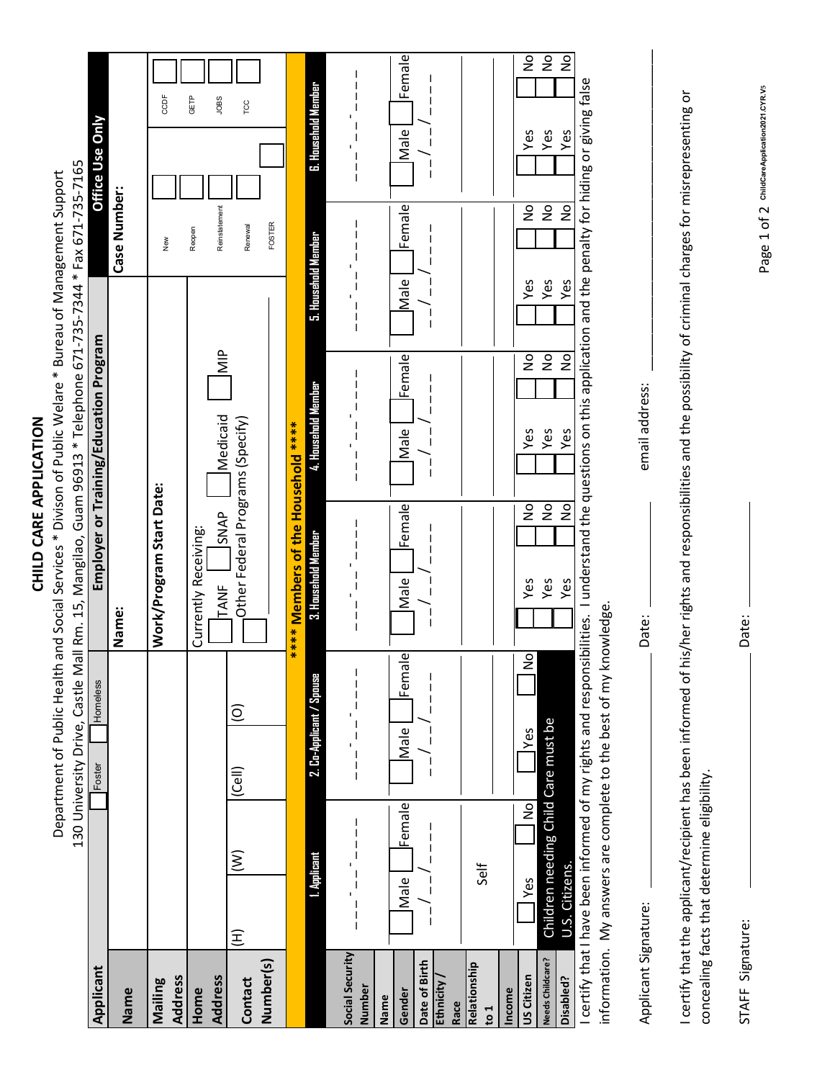| ŗ |
|---|
| ť |
|   |
|   |
|   |
| Ş |
|   |
|   |
| ı |
|   |
|   |
|   |
|   |
|   |
|   |

Department of Public Health and Social Services \* Divison of Public Welare \* Bureau of Management Support Department of Public Health and Social Services \* Divison of Public Welare \* Bureau of Management Support

|                                    |                                                         |                                     |                              |                                                                  |                                     |                      | 130 University Drive, Castle Mall Rm. 15, Mangilao, Guam 96913 * Telephone 671-735-7344 * Fax 671-735-7165                                                     |                                               |                          |                        |                                |
|------------------------------------|---------------------------------------------------------|-------------------------------------|------------------------------|------------------------------------------------------------------|-------------------------------------|----------------------|----------------------------------------------------------------------------------------------------------------------------------------------------------------|-----------------------------------------------|--------------------------|------------------------|--------------------------------|
| Applicant                          |                                                         |                                     | Foster                       | Homeless                                                         |                                     |                      | Employer or Training/Education Program                                                                                                                         |                                               |                          | <b>Office Use Only</b> |                                |
| Name                               |                                                         |                                     |                              |                                                                  | Name:                               |                      |                                                                                                                                                                |                                               | Case Number:             |                        |                                |
| <b>Address</b><br>Mailing          |                                                         |                                     |                              |                                                                  | Work/Program Start Date:            |                      |                                                                                                                                                                |                                               | New                      |                        | CCDF                           |
| Home                               |                                                         |                                     |                              |                                                                  | Currently Receiving:                |                      |                                                                                                                                                                |                                               | Reopen                   |                        | GETP                           |
| <b>Address</b><br>Contact          | E                                                       | $\widehat{\geq}$                    | $\widehat{\mathcal{C}}$ ell) | $\widehat{\circ}$                                                | TANF                                | <b>SNAP</b>          | Medicaid<br>Other Federal Programs (Specify)                                                                                                                   | $rac{p}{\sqrt{2}}$                            | Reinstatement<br>Renewal |                        | JOBS<br>TCC                    |
| Number(s)                          |                                                         |                                     |                              |                                                                  |                                     |                      |                                                                                                                                                                |                                               | FOSTER                   |                        |                                |
|                                    |                                                         |                                     |                              |                                                                  | **** Members of the Household ***** |                      |                                                                                                                                                                |                                               |                          |                        |                                |
|                                    |                                                         | 1. Applicant                        |                              | 2. Co-Applicant / Spouse                                         | 3. Hausehald Member                 |                      | 4. Household Member                                                                                                                                            |                                               | 5. Hausehald Member      | 6. Household Member    |                                |
| Social Security<br>Number          | $\begin{array}{c} \hline \end{array}$<br>$\overline{1}$ |                                     | $\frac{1}{1}$                | $\begin{array}{c} 1 \\ 1 \\ 1 \end{array}$<br>$\mathbf I$        | I<br>$\mathsf{I}$                   |                      | $\mathsf{I}$                                                                                                                                                   | ı<br>$\overline{\phantom{a}}$                 | $\mathbf{I}$             | I                      | $\mathbf{I}$                   |
| Gender<br>Name                     | Male                                                    | Female                              | Male                         | Female                                                           | Male                                | Female               | Female<br>Male                                                                                                                                                 | Male                                          | Female                   | Male                   | Female                         |
| Date of Birth<br>Ethnicity<br>Race |                                                         |                                     |                              |                                                                  |                                     |                      |                                                                                                                                                                |                                               |                          |                        |                                |
| Relationship<br>$\frac{1}{2}$      |                                                         | Self                                |                              |                                                                  |                                     |                      |                                                                                                                                                                |                                               |                          |                        |                                |
| US Citizen<br>Income               | Yes                                                     | No                                  | Yes                          | $\frac{6}{5}$                                                    | Yes                                 | $\frac{1}{2}$        | Yes                                                                                                                                                            | Yes<br>$\frac{1}{2}$                          | ş                        | Yes                    | $\frac{1}{2}$                  |
| Needs Childcare?<br>Disabled?      | U.S. Citizens.                                          | Children needing Child Care must be |                              |                                                                  | Yes<br>Yes                          | $\overline{5}$<br>No | Yes<br>Yes                                                                                                                                                     | Yes<br>Yes<br>$\overline{2}$<br>$\frac{1}{2}$ | No<br>$\gtrsim$          | Yes<br>Yes             | $\frac{1}{2}$<br>$\frac{1}{2}$ |
|                                    |                                                         |                                     |                              | information. My answers are complete to the best of my knowledge |                                     |                      | certify that I have been informed of my rights and responsibilities. I understand the questions on this application and the penalty for hiding or giving false |                                               |                          |                        |                                |
| Applicant Signature:               |                                                         |                                     |                              |                                                                  | Date:                               |                      | email address:                                                                                                                                                 |                                               |                          |                        |                                |

I certify that the applicant/recipient has been informed of his/her rights and responsibilities and the possibility of criminal charges for misrepresenting or I certify that the applicant/recipient has been informed of his/her rights and responsibilities and the possibility of criminal charges for misrepresenting or concealing facts that determine eligibility. concealing facts that determine eligibility.

| Date:            |
|------------------|
|                  |
|                  |
|                  |
|                  |
|                  |
|                  |
|                  |
| STAFF Signature: |
| d                |
|                  |

Date:

Page 1 of 2 childcareApplication2021.cyR.vs **ChildCareApplication2021.CYR.V5**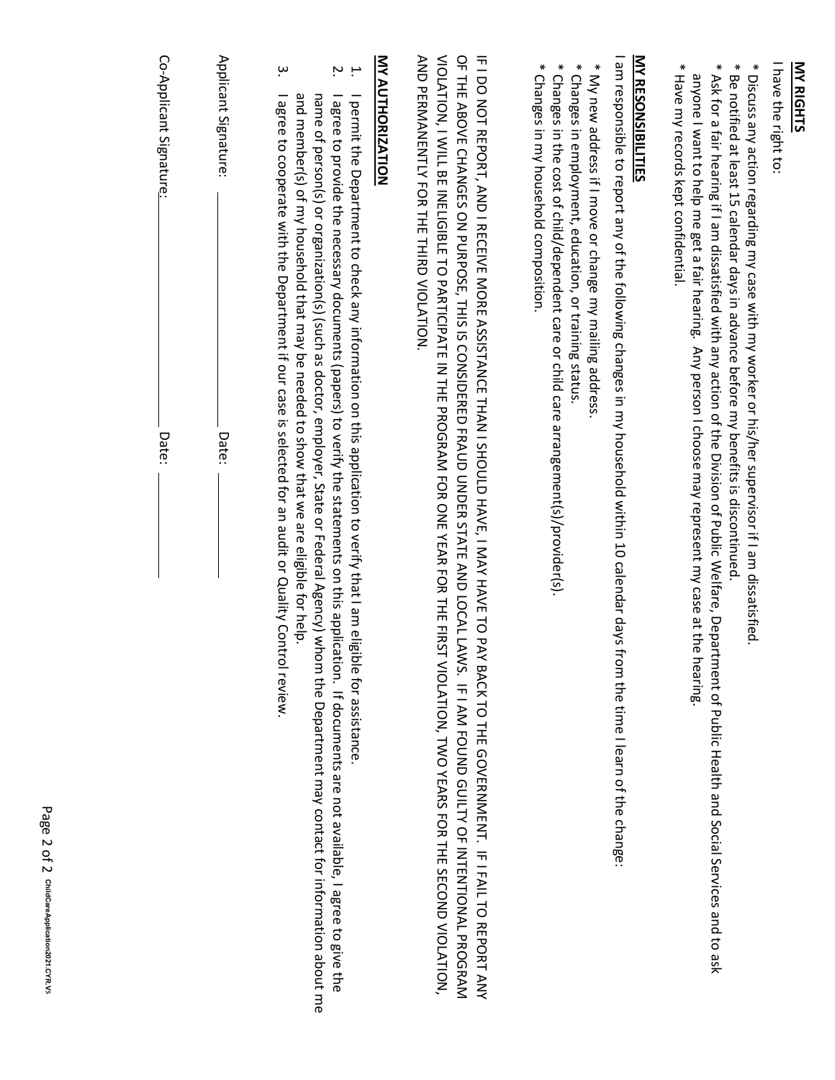### **MY RIGHTS**

I have the right to I have the right to:

\* Discuss any action regarding my case with my worker or his/her supervisor if I am dissatisfied. \* Discuss any action regarding my case with my worker or his/her supervisor if I am dissatisfied.

- \* Be notified at least 15 calendar days in advance before my benefits is discontinued \* Be notified at least 15 calendar days in advance before my benefits is discontinued.
- \* Ask for a fair hearing if I am dissatisfied with any action of the Division of Public Welfare, Department of Public Health and Social Services and to ask \* Ask for a fair hearing if I am dissatisfied with any action of the Division of Public Welfare, Department of Public Health anyone I want to help me get a fair hearing. Any person I choose may represent my case at the hearing anyone I want to help me get a fair hearing. Any person I choose may represent my case at the hearing. Social Services and to ask
- \* Have my records kept confidential. \* Have my records kept confidential.

## **MY RESONSIBILITIES MY RESONSIBILITIES**

I am responsible to report any of the following changes in my household within 10 calendar days from the time I learn of the change: am responsible to report any of the following changes in my household within 10 calendar days from the time I learn of the change:

- \* My new address if I move or change my mailing address. \* My new address if I move or change my mailing address.
- \* Changes in employment, education, or training status \* Changes in employment, education, or training status.
- \* Changes in the cost of child/dependent care or child care arrangement(s)/provider(s) \* Changes in the cost of child/dependent care or child care arrangement(s)/provider(s).
- \* Changes in my household composition. \* Changes in my household composition.

VIOLATION, I WILL BE INELIGIBLE TO PARTICIPATE IN THE PROGRAM FOR ONE YEAR FOR THE FIRST VIOLATION, TWO YEARS FOR THE SECOND VIOLATION, AND PERMANENTLY FOR THIE THIRD VIOLATION AND PERMANENTLY FOR THE THIRD VIOLATION. VIOLATION, I WILL BE INELIGIBLE TO PARTICIPATE IN THE PROGRAM FOR ONE YEAR FOR THE FIRST VIOLATION, TWO YEARS FOR THE SECOND VIOLATION,  $\frac{1}{2}$ IF I DO NOT REPORT, AND I RECEIVE MORE ASSISTANCE THAN I SHOULD HAVE, I MAY HAVE TO PAY BACK TO THE GOVERNIMENT. IF I FAIL TO REPORT ANY I DO NOT REPORT, AND I RECEIVE MORE ASSISTANCE THAN I SHOULD HAVE, I MAY HAVE TO PAY BACK TO THE GOVERNMENT. IF I FAIL TO REPORT ANY THE ABOVE CHANGES ONPURPOSE, THIS IS CONSIDERED FRAUD UNDER STATE AND LOCAL LAWS. IF I AM FOUND GUILTY OF INTENTIONAL PROGRAM

# **MY AUTHORIZATION MY AUTHORIZATION**

- 1. I permit the Department to check any information on this application to verify that I am eligible for assistance. I permit the Department to check any information on this application to verify that I am eligible for assistance
- $\dot{\mathbf{z}}$ 2. I agree to provide the necessary documents (papers) to verify the statements on this application. If documents are not a and member(s) of my household that may be needed to show that we are eligible for help. name of person(s) or organization(s) (such as doctor, employer, State or Federal Agency) whom the Department may contact for information about me I agree to provide the necessary documents (papers) to verify the statements on this application. If documents are not available, I agree to give the name of person(s) or organization(s) (such as doctor, employer, State or Federal Agency) whom the Department may contact for information about me member(s) of my household that may be needed to show that we are eligible for help. vailable, I agree to give the
- $\dot{\mathsf{e}}$ 3. I agree to cooperate with the Department if our case is selected for an audit or Quality Control review. I agree to cooperate with the Department if our case is selected for an audit or Quality Control review

| Co-Applicant Signature: | Applicant Signature: |
|-------------------------|----------------------|
|                         |                      |
| Date:                   | Date:                |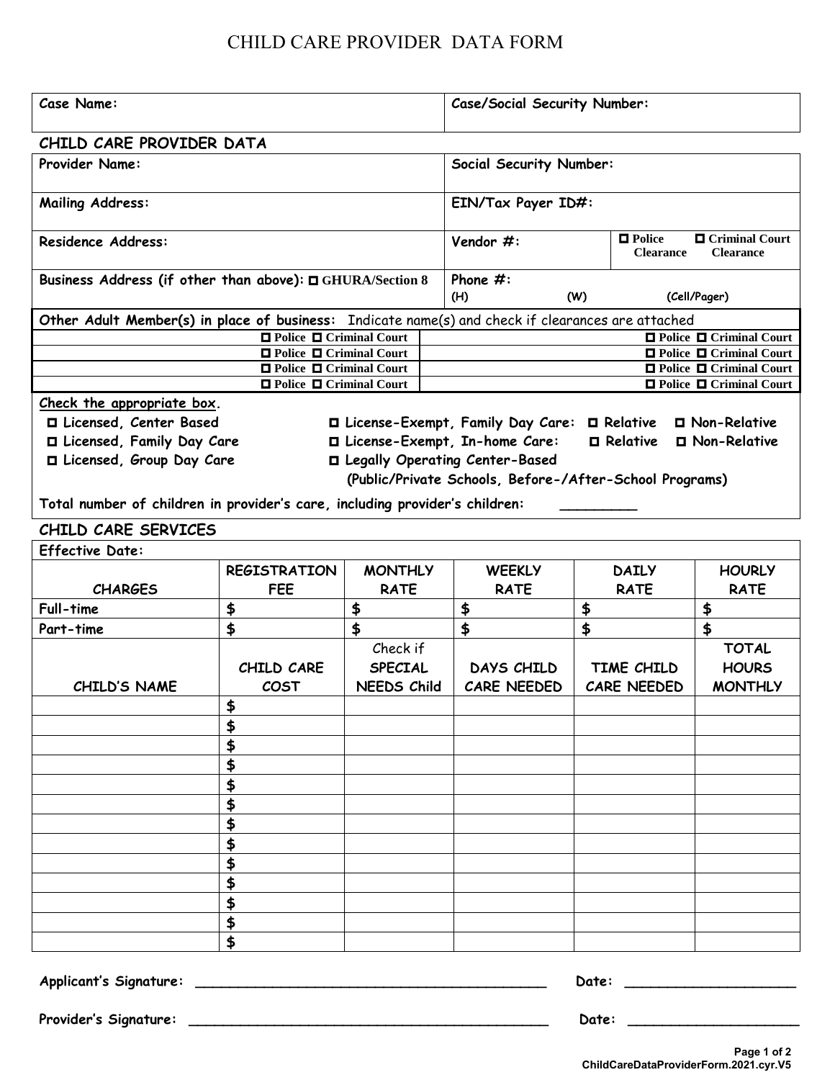#### CHILD CARE PROVIDER DATA FORM

| <b>Case Name:</b>                                                                                 |                                                                  |                    |  | <b>Case/Social Security Number:</b>                     |    |                                           |                                                                  |  |
|---------------------------------------------------------------------------------------------------|------------------------------------------------------------------|--------------------|--|---------------------------------------------------------|----|-------------------------------------------|------------------------------------------------------------------|--|
| CHILD CARE PROVIDER DATA                                                                          |                                                                  |                    |  |                                                         |    |                                           |                                                                  |  |
| <b>Provider Name:</b>                                                                             |                                                                  |                    |  | <b>Social Security Number:</b>                          |    |                                           |                                                                  |  |
| <b>Mailing Address:</b>                                                                           |                                                                  |                    |  | EIN/Tax Payer ID#:                                      |    |                                           |                                                                  |  |
| <b>Residence Address:</b>                                                                         |                                                                  |                    |  | Vendor #:                                               |    | $\blacksquare$ Police<br><b>Clearance</b> | <b>O</b> Criminal Court<br><b>Clearance</b>                      |  |
| Business Address (if other than above): □ GHURA/Section 8                                         |                                                                  |                    |  | Phone $#$ :<br>(H)<br>(Cell/Pager)<br>(W)               |    |                                           |                                                                  |  |
| Other Adult Member(s) in place of business: Indicate name(s) and check if clearances are attached |                                                                  |                    |  |                                                         |    |                                           |                                                                  |  |
|                                                                                                   | □ Police □ Criminal Court                                        |                    |  |                                                         |    |                                           | <b>O</b> Police <b>O</b> Criminal Court                          |  |
|                                                                                                   | $\Box$ Police $\Box$ Criminal Court                              |                    |  |                                                         |    |                                           | □ Police □ Criminal Court                                        |  |
|                                                                                                   | $\Box$ Police $\Box$ Criminal Court<br>□ Police □ Criminal Court |                    |  |                                                         |    |                                           | $\Box$ Police $\Box$ Criminal Court<br>□ Police □ Criminal Court |  |
| Check the appropriate box.                                                                        |                                                                  |                    |  |                                                         |    |                                           |                                                                  |  |
| □ Licensed, Center Based                                                                          |                                                                  |                    |  | □ License-Exempt, Family Day Care: □ Relative           |    |                                           | □ Non-Relative                                                   |  |
| □ Licensed, Family Day Care                                                                       |                                                                  |                    |  | □ License-Exempt, In-home Care:                         |    | $\blacksquare$ Relative                   | □ Non-Relative                                                   |  |
| □ Licensed, Group Day Care                                                                        |                                                                  |                    |  | □ Legally Operating Center-Based                        |    |                                           |                                                                  |  |
|                                                                                                   |                                                                  |                    |  | (Public/Private Schools, Before-/After-School Programs) |    |                                           |                                                                  |  |
|                                                                                                   |                                                                  |                    |  |                                                         |    |                                           |                                                                  |  |
| Total number of children in provider's care, including provider's children:                       |                                                                  |                    |  |                                                         |    |                                           |                                                                  |  |
| CHILD CARE SERVICES                                                                               |                                                                  |                    |  |                                                         |    |                                           |                                                                  |  |
| <b>Effective Date:</b>                                                                            |                                                                  |                    |  |                                                         |    |                                           |                                                                  |  |
|                                                                                                   | <b>REGISTRATION</b>                                              | <b>MONTHLY</b>     |  | <b>WEEKLY</b>                                           |    | <b>DAILY</b>                              | <b>HOURLY</b>                                                    |  |
| <b>CHARGES</b>                                                                                    | <b>FEE</b>                                                       | <b>RATE</b>        |  | <b>RATE</b>                                             |    | <b>RATE</b>                               | <b>RATE</b>                                                      |  |
| <b>Full-time</b>                                                                                  | \$                                                               | \$                 |  | \$                                                      | \$ |                                           | \$                                                               |  |
| Part-time                                                                                         | \$                                                               | \$                 |  | \$                                                      | \$ |                                           | \$                                                               |  |
|                                                                                                   |                                                                  | Check if           |  |                                                         |    |                                           | <b>TOTAL</b>                                                     |  |
|                                                                                                   | CHILD CARE                                                       | <b>SPECIAL</b>     |  | DAYS CHILD                                              |    | TIME CHILD                                | <b>HOURS</b>                                                     |  |
| CHILD'S NAME                                                                                      | COST                                                             | <b>NEEDS Child</b> |  | <b>CARE NEEDED</b>                                      |    | <b>CARE NEEDED</b>                        | <b>MONTHLY</b>                                                   |  |
|                                                                                                   |                                                                  |                    |  |                                                         |    |                                           |                                                                  |  |
|                                                                                                   | \$                                                               |                    |  |                                                         |    |                                           |                                                                  |  |
|                                                                                                   | \$                                                               |                    |  |                                                         |    |                                           |                                                                  |  |
|                                                                                                   | \$                                                               |                    |  |                                                         |    |                                           |                                                                  |  |
|                                                                                                   | \$                                                               |                    |  |                                                         |    |                                           |                                                                  |  |
|                                                                                                   | \$                                                               |                    |  |                                                         |    |                                           |                                                                  |  |
|                                                                                                   | \$                                                               |                    |  |                                                         |    |                                           |                                                                  |  |
|                                                                                                   | \$                                                               |                    |  |                                                         |    |                                           |                                                                  |  |
|                                                                                                   | \$                                                               |                    |  |                                                         |    |                                           |                                                                  |  |
|                                                                                                   | \$                                                               |                    |  |                                                         |    |                                           |                                                                  |  |
|                                                                                                   | \$                                                               |                    |  |                                                         |    |                                           |                                                                  |  |
|                                                                                                   | \$                                                               |                    |  |                                                         |    |                                           |                                                                  |  |
|                                                                                                   | \$                                                               |                    |  |                                                         |    |                                           |                                                                  |  |
|                                                                                                   |                                                                  |                    |  |                                                         |    |                                           |                                                                  |  |

**Applicant's Signature: \_\_\_\_\_\_\_\_\_\_\_\_\_\_\_\_\_\_\_\_\_\_\_\_\_\_\_\_\_\_\_\_\_\_\_\_\_\_\_\_\_ Date: \_\_\_\_\_\_\_\_\_\_\_\_\_\_\_\_\_\_\_\_**

**Provider's Signature: \_\_\_\_\_\_\_\_\_\_\_\_\_\_\_\_\_\_\_\_\_\_\_\_\_\_\_\_\_\_\_\_\_\_\_\_\_\_\_\_\_\_ Date: \_\_\_\_\_\_\_\_\_\_\_\_\_\_\_\_\_\_\_\_**